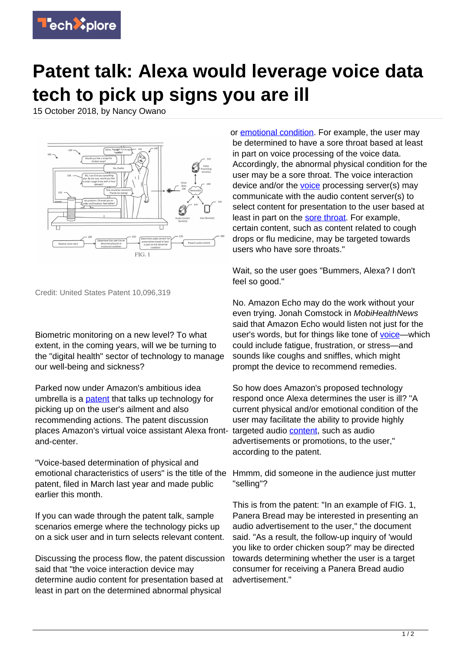

## **Patent talk: Alexa would leverage voice data tech to pick up signs you are ill**

15 October 2018, by Nancy Owano



Credit: United States Patent 10,096,319

Biometric monitoring on a new level? To what extent, in the coming years, will we be turning to the "digital health" sector of technology to manage our well-being and sickness?

Parked now under Amazon's ambitious idea umbrella is a **[patent](http://patft.uspto.gov/netacgi/nph-Parser?Sect1=PTO2&Sect2=HITOFF&u=%2Fnetahtml%2FPTO%2Fsearch-adv.htm&r=1&p=1&f=G&l=50&d=PTXT&S1=10,096,319&OS=10,096,319&RS=10,096,319)** that talks up technology for picking up on the user's ailment and also recommending actions. The patent discussion places Amazon's virtual voice assistant Alexa frontand-center.

"Voice-based determination of physical and emotional characteristics of users" is the title of the patent, filed in March last year and made public earlier this month.

If you can wade through the patent talk, sample scenarios emerge where the technology picks up on a sick user and in turn selects relevant content.

Discussing the process flow, the patent discussion said that "the voice interaction device may determine audio content for presentation based at least in part on the determined abnormal physical

or [emotional condition](https://techxplore.com/tags/emotional+condition/). For example, the user may be determined to have a sore throat based at least in part on voice processing of the voice data. Accordingly, the abnormal physical condition for the user may be a sore throat. The voice interaction device and/or the [voice](https://techxplore.com/tags/voice/) processing server(s) may communicate with the audio content server(s) to select content for presentation to the user based at least in part on the [sore throat.](https://techxplore.com/tags/sore+throat/) For example, certain content, such as content related to cough drops or flu medicine, may be targeted towards users who have sore throats."

Wait, so the user goes "Bummers, Alexa? I don't feel so good."

No. Amazon Echo may do the work without your even trying. Jonah Comstock in MobiHealthNews said that Amazon Echo would listen not just for the user's words, but for things like tone of [voice—](https://www.mobihealthnews.com/content/walmart-amazon-patents-could-take-biometric-monitoring-new-level)which could include fatigue, frustration, or stress—and sounds like coughs and sniffles, which might prompt the device to recommend remedies.

So how does Amazon's proposed technology respond once Alexa determines the user is ill? "A current physical and/or emotional condition of the user may facilitate the ability to provide highly targeted audio [content,](https://techxplore.com/tags/content/) such as audio advertisements or promotions, to the user," according to the patent.

Hmmm, did someone in the audience just mutter "selling"?

This is from the patent: "In an example of FIG. 1, Panera Bread may be interested in presenting an audio advertisement to the user," the document said. "As a result, the follow-up inquiry of 'would you like to order chicken soup?' may be directed towards determining whether the user is a target consumer for receiving a Panera Bread audio advertisement."